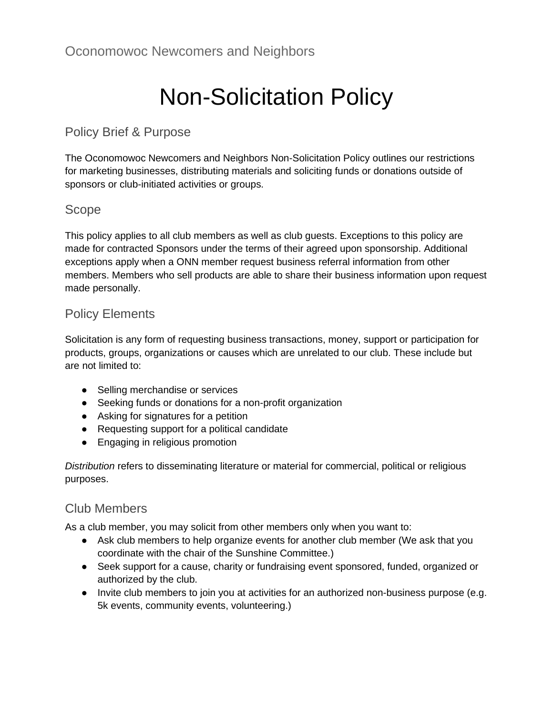# Non-Solicitation Policy

## Policy Brief & Purpose

The Oconomowoc Newcomers and Neighbors Non-Solicitation Policy outlines our restrictions for marketing businesses, distributing materials and soliciting funds or donations outside of sponsors or club-initiated activities or groups.

#### Scope

This policy applies to all club members as well as club guests. Exceptions to this policy are made for contracted Sponsors under the terms of their agreed upon sponsorship. Additional exceptions apply when a ONN member request business referral information from other members. Members who sell products are able to share their business information upon request made personally.

## Policy Elements

Solicitation is any form of requesting business transactions, money, support or participation for products, groups, organizations or causes which are unrelated to our club. These include but are not limited to:

- Selling merchandise or services
- Seeking funds or donations for a non-profit organization
- Asking for signatures for a petition
- Requesting support for a political candidate
- Engaging in religious promotion

*Distribution* refers to disseminating literature or material for commercial, political or religious purposes.

#### Club Members

As a club member, you may solicit from other members only when you want to:

- Ask club members to help organize events for another club member (We ask that you coordinate with the chair of the Sunshine Committee.)
- Seek support for a cause, charity or fundraising event sponsored, funded, organized or authorized by the club.
- Invite club members to join you at activities for an authorized non-business purpose (e.g. 5k events, community events, volunteering.)